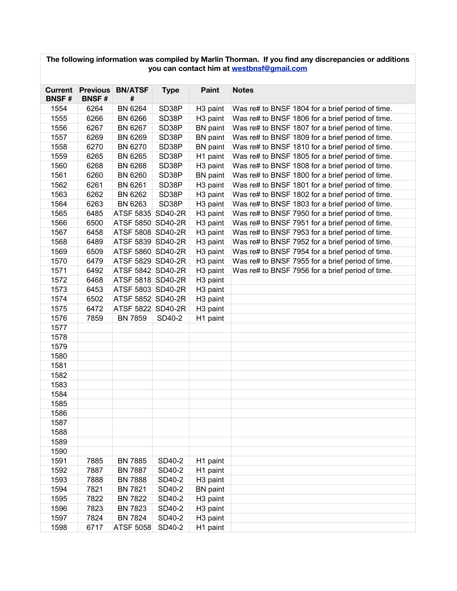| The following information was compiled by Marlin Thorman. If you find any discrepancies or additions<br>you can contact him at westbnsf@gmail.com |              |                              |             |                      |                                                  |  |  |
|---------------------------------------------------------------------------------------------------------------------------------------------------|--------------|------------------------------|-------------|----------------------|--------------------------------------------------|--|--|
|                                                                                                                                                   |              |                              |             |                      |                                                  |  |  |
| <b>Current</b><br><b>BNSF#</b>                                                                                                                    | <b>BNSF#</b> | <b>Previous BN/ATSF</b><br># | <b>Type</b> | <b>Paint</b>         | <b>Notes</b>                                     |  |  |
| 1554                                                                                                                                              | 6264         | BN 6264                      | SD38P       | H <sub>3</sub> paint | Was re# to BNSF 1804 for a brief period of time. |  |  |
| 1555                                                                                                                                              | 6266         | <b>BN 6266</b>               | SD38P       | H <sub>3</sub> paint | Was re# to BNSF 1806 for a brief period of time. |  |  |
| 1556                                                                                                                                              | 6267         | BN 6267                      | SD38P       | <b>BN</b> paint      | Was re# to BNSF 1807 for a brief period of time. |  |  |
| 1557                                                                                                                                              | 6269         | <b>BN 6269</b>               | SD38P       | <b>BN</b> paint      | Was re# to BNSF 1809 for a brief period of time. |  |  |
| 1558                                                                                                                                              | 6270         | <b>BN 6270</b>               | SD38P       | <b>BN</b> paint      | Was re# to BNSF 1810 for a brief period of time. |  |  |
| 1559                                                                                                                                              | 6265         | BN 6265                      | SD38P       | H1 paint             | Was re# to BNSF 1805 for a brief period of time. |  |  |
| 1560                                                                                                                                              | 6268         | <b>BN 6268</b>               | SD38P       | H <sub>3</sub> paint | Was re# to BNSF 1808 for a brief period of time. |  |  |
| 1561                                                                                                                                              | 6260         | <b>BN 6260</b>               | SD38P       | <b>BN</b> paint      | Was re# to BNSF 1800 for a brief period of time. |  |  |
| 1562                                                                                                                                              | 6261         | BN 6261                      | SD38P       | H <sub>3</sub> paint | Was re# to BNSF 1801 for a brief period of time. |  |  |
| 1563                                                                                                                                              | 6262         | BN 6262                      | SD38P       | H <sub>3</sub> paint | Was re# to BNSF 1802 for a brief period of time. |  |  |
| 1564                                                                                                                                              | 6263         | BN 6263                      | SD38P       | H <sub>3</sub> paint | Was re# to BNSF 1803 for a brief period of time. |  |  |
| 1565                                                                                                                                              | 6485         | ATSF 5835 SD40-2R            |             | H <sub>3</sub> paint | Was re# to BNSF 7950 for a brief period of time. |  |  |
| 1566                                                                                                                                              | 6500         | ATSF 5850 SD40-2R            |             | H <sub>3</sub> paint | Was re# to BNSF 7951 for a brief period of time. |  |  |
| 1567                                                                                                                                              | 6458         | ATSF 5808 SD40-2R            |             | H <sub>3</sub> paint | Was re# to BNSF 7953 for a brief period of time. |  |  |
| 1568                                                                                                                                              | 6489         | ATSF 5839 SD40-2R            |             | H <sub>3</sub> paint | Was re# to BNSF 7952 for a brief period of time. |  |  |
| 1569                                                                                                                                              | 6509         | ATSF 5860 SD40-2R            |             | H <sub>3</sub> paint | Was re# to BNSF 7954 for a brief period of time. |  |  |
| 1570                                                                                                                                              | 6479         | ATSF 5829 SD40-2R            |             | H <sub>3</sub> paint | Was re# to BNSF 7955 for a brief period of time. |  |  |
| 1571                                                                                                                                              | 6492         | ATSF 5842 SD40-2R            |             | H <sub>3</sub> paint | Was re# to BNSF 7956 for a brief period of time. |  |  |
| 1572                                                                                                                                              | 6468         | ATSF 5818 SD40-2R            |             | H <sub>3</sub> paint |                                                  |  |  |
| 1573                                                                                                                                              | 6453         | ATSF 5803 SD40-2R            |             | H <sub>3</sub> paint |                                                  |  |  |
| 1574                                                                                                                                              | 6502         | ATSF 5852 SD40-2R            |             | H <sub>3</sub> paint |                                                  |  |  |
| 1575                                                                                                                                              | 6472         | ATSF 5822 SD40-2R            |             | H <sub>3</sub> paint |                                                  |  |  |
| 1576                                                                                                                                              | 7859         | <b>BN 7859</b>               | SD40-2      | H1 paint             |                                                  |  |  |
| 1577                                                                                                                                              |              |                              |             |                      |                                                  |  |  |
| 1578                                                                                                                                              |              |                              |             |                      |                                                  |  |  |
| 1579                                                                                                                                              |              |                              |             |                      |                                                  |  |  |
| 1580                                                                                                                                              |              |                              |             |                      |                                                  |  |  |
| 1581                                                                                                                                              |              |                              |             |                      |                                                  |  |  |
| 1582                                                                                                                                              |              |                              |             |                      |                                                  |  |  |
| 1583                                                                                                                                              |              |                              |             |                      |                                                  |  |  |
| 1584                                                                                                                                              |              |                              |             |                      |                                                  |  |  |
| 1585                                                                                                                                              |              |                              |             |                      |                                                  |  |  |
| 1586                                                                                                                                              |              |                              |             |                      |                                                  |  |  |
| 1587                                                                                                                                              |              |                              |             |                      |                                                  |  |  |
| 1588                                                                                                                                              |              |                              |             |                      |                                                  |  |  |
| 1589                                                                                                                                              |              |                              |             |                      |                                                  |  |  |
| 1590                                                                                                                                              |              |                              |             |                      |                                                  |  |  |
| 1591                                                                                                                                              | 7885         | <b>BN 7885</b>               | SD40-2      | H1 paint             |                                                  |  |  |
| 1592                                                                                                                                              | 7887         | <b>BN 7887</b>               | SD40-2      | H1 paint             |                                                  |  |  |
| 1593                                                                                                                                              | 7888         | <b>BN 7888</b>               | SD40-2      | H <sub>3</sub> paint |                                                  |  |  |
| 1594                                                                                                                                              | 7821         | <b>BN 7821</b>               | SD40-2      | <b>BN</b> paint      |                                                  |  |  |
| 1595                                                                                                                                              | 7822         | <b>BN 7822</b>               | SD40-2      | H <sub>3</sub> paint |                                                  |  |  |
| 1596                                                                                                                                              | 7823         | <b>BN 7823</b>               | SD40-2      | H <sub>3</sub> paint |                                                  |  |  |
| 1597                                                                                                                                              | 7824         | <b>BN 7824</b>               | SD40-2      | H <sub>3</sub> paint |                                                  |  |  |
| 1598                                                                                                                                              | 6717         | <b>ATSF 5058</b>             | SD40-2      | H1 paint             |                                                  |  |  |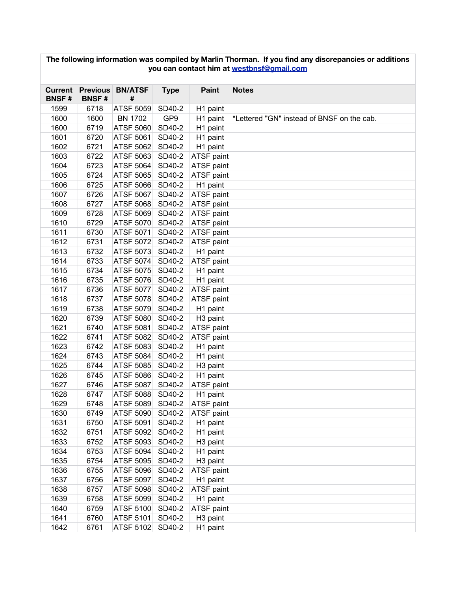| The following information was compiled by Marlin Thorman. If you find any discrepancies or additions<br>you can contact him at westbnsf@gmail.com |              |                              |                 |                      |                                            |  |  |  |  |
|---------------------------------------------------------------------------------------------------------------------------------------------------|--------------|------------------------------|-----------------|----------------------|--------------------------------------------|--|--|--|--|
| <b>Current</b><br><b>BNSF#</b>                                                                                                                    | <b>BNSF#</b> | <b>Previous BN/ATSF</b><br># | <b>Type</b>     | <b>Paint</b>         | <b>Notes</b>                               |  |  |  |  |
| 1599                                                                                                                                              | 6718         | ATSF 5059                    | SD40-2          | H1 paint             |                                            |  |  |  |  |
| 1600                                                                                                                                              | 1600         | <b>BN 1702</b>               | GP <sub>9</sub> | H1 paint             | *Lettered "GN" instead of BNSF on the cab. |  |  |  |  |
| 1600                                                                                                                                              | 6719         | <b>ATSF 5060</b>             | SD40-2          | H1 paint             |                                            |  |  |  |  |
| 1601                                                                                                                                              | 6720         | ATSF 5061                    | SD40-2          | H1 paint             |                                            |  |  |  |  |
| 1602                                                                                                                                              | 6721         | <b>ATSF 5062</b>             | SD40-2          | H1 paint             |                                            |  |  |  |  |
| 1603                                                                                                                                              | 6722         | ATSF 5063                    | SD40-2          | ATSF paint           |                                            |  |  |  |  |
| 1604                                                                                                                                              | 6723         | ATSF 5064                    | SD40-2          | ATSF paint           |                                            |  |  |  |  |
| 1605                                                                                                                                              | 6724         | <b>ATSF 5065</b>             | SD40-2          | ATSF paint           |                                            |  |  |  |  |
| 1606                                                                                                                                              | 6725         | ATSF 5066                    | SD40-2          | H1 paint             |                                            |  |  |  |  |
| 1607                                                                                                                                              | 6726         | ATSF 5067                    | SD40-2          | ATSF paint           |                                            |  |  |  |  |
| 1608                                                                                                                                              | 6727         | <b>ATSF 5068</b>             | SD40-2          | ATSF paint           |                                            |  |  |  |  |
| 1609                                                                                                                                              | 6728         | ATSF 5069                    | SD40-2          | ATSF paint           |                                            |  |  |  |  |
| 1610                                                                                                                                              | 6729         | <b>ATSF 5070</b>             | SD40-2          | ATSF paint           |                                            |  |  |  |  |
| 1611                                                                                                                                              | 6730         | <b>ATSF 5071</b>             | SD40-2          | ATSF paint           |                                            |  |  |  |  |
| 1612                                                                                                                                              | 6731         | <b>ATSF 5072</b>             | SD40-2          | ATSF paint           |                                            |  |  |  |  |
| 1613                                                                                                                                              | 6732         | <b>ATSF 5073</b>             | SD40-2          | H1 paint             |                                            |  |  |  |  |
| 1614                                                                                                                                              | 6733         | <b>ATSF 5074</b>             | SD40-2          | ATSF paint           |                                            |  |  |  |  |
| 1615                                                                                                                                              | 6734         | <b>ATSF 5075</b>             | SD40-2          | H1 paint             |                                            |  |  |  |  |
| 1616                                                                                                                                              | 6735         | ATSF 5076                    | SD40-2          | H1 paint             |                                            |  |  |  |  |
| 1617                                                                                                                                              | 6736         | <b>ATSF 5077</b>             | SD40-2          | ATSF paint           |                                            |  |  |  |  |
| 1618                                                                                                                                              | 6737         | <b>ATSF 5078</b>             | SD40-2          | ATSF paint           |                                            |  |  |  |  |
| 1619                                                                                                                                              | 6738         | ATSF 5079                    | SD40-2          | H1 paint             |                                            |  |  |  |  |
| 1620                                                                                                                                              | 6739         | ATSF 5080                    | SD40-2          | H <sub>3</sub> paint |                                            |  |  |  |  |
| 1621                                                                                                                                              | 6740         | ATSF 5081                    | SD40-2          | ATSF paint           |                                            |  |  |  |  |
| 1622                                                                                                                                              | 6741         | <b>ATSF 5082</b>             | SD40-2          | ATSF paint           |                                            |  |  |  |  |
| 1623                                                                                                                                              | 6742         | <b>ATSF 5083</b>             | SD40-2          | H1 paint             |                                            |  |  |  |  |
| 1624                                                                                                                                              | 6743         | ATSF 5084                    | SD40-2          | H1 paint             |                                            |  |  |  |  |
| 1625                                                                                                                                              | 6744         | <b>ATSF 5085</b>             | SD40-2          | H <sub>3</sub> paint |                                            |  |  |  |  |
| 1626                                                                                                                                              | 6745         | ATSF 5086                    | SD40-2          | H1 paint             |                                            |  |  |  |  |
| 1627                                                                                                                                              | 6746         | ATSF 5087                    | SD40-2          | ATSF paint           |                                            |  |  |  |  |
| 1628                                                                                                                                              | 6747         | <b>ATSF 5088</b>             | SD40-2          | H1 paint             |                                            |  |  |  |  |
| 1629                                                                                                                                              | 6748         | ATSF 5089                    | SD40-2          | ATSF paint           |                                            |  |  |  |  |
| 1630                                                                                                                                              | 6749         | ATSF 5090                    | SD40-2          | ATSF paint           |                                            |  |  |  |  |
| 1631                                                                                                                                              | 6750         | <b>ATSF 5091</b>             | SD40-2          | H1 paint             |                                            |  |  |  |  |
| 1632                                                                                                                                              | 6751         | ATSF 5092                    | SD40-2          | H1 paint             |                                            |  |  |  |  |
| 1633                                                                                                                                              | 6752         | ATSF 5093                    | SD40-2          | H <sub>3</sub> paint |                                            |  |  |  |  |
| 1634                                                                                                                                              | 6753         | ATSF 5094                    | SD40-2          | H1 paint             |                                            |  |  |  |  |
| 1635                                                                                                                                              | 6754         | ATSF 5095                    | SD40-2          | H <sub>3</sub> paint |                                            |  |  |  |  |
| 1636                                                                                                                                              | 6755         | ATSF 5096                    | SD40-2          | ATSF paint           |                                            |  |  |  |  |
| 1637                                                                                                                                              | 6756         | ATSF 5097                    | SD40-2          | H1 paint             |                                            |  |  |  |  |
| 1638                                                                                                                                              | 6757         | ATSF 5098                    | SD40-2          | ATSF paint           |                                            |  |  |  |  |
| 1639                                                                                                                                              | 6758         | ATSF 5099                    | SD40-2          | H1 paint             |                                            |  |  |  |  |
| 1640                                                                                                                                              | 6759         | ATSF 5100                    | SD40-2          | ATSF paint           |                                            |  |  |  |  |
| 1641                                                                                                                                              | 6760         | ATSF 5101                    | SD40-2          | H <sub>3</sub> paint |                                            |  |  |  |  |
| 1642                                                                                                                                              | 6761         | ATSF 5102 SD40-2             |                 | H1 paint             |                                            |  |  |  |  |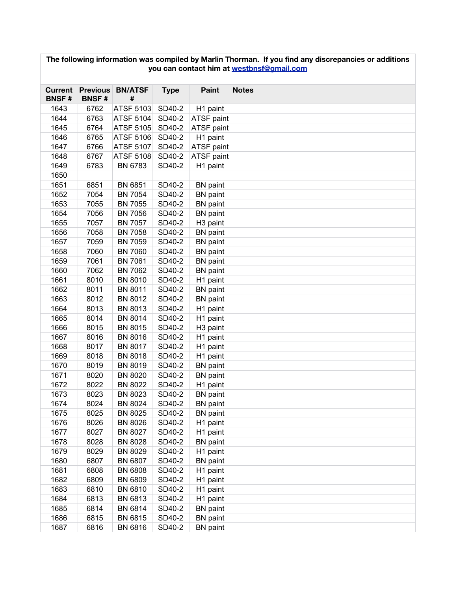| The following information was compiled by Marlin Thorman. If you find any discrepancies or additions<br>you can contact him at westbnsf@gmail.com |                                 |                     |             |                      |              |  |  |  |
|---------------------------------------------------------------------------------------------------------------------------------------------------|---------------------------------|---------------------|-------------|----------------------|--------------|--|--|--|
| <b>Current</b><br><b>BNSF#</b>                                                                                                                    | <b>Previous</b><br><b>BNSF#</b> | <b>BN/ATSF</b><br># | <b>Type</b> | Paint                | <b>Notes</b> |  |  |  |
| 1643                                                                                                                                              | 6762                            | ATSF 5103           | SD40-2      | H1 paint             |              |  |  |  |
| 1644                                                                                                                                              | 6763                            | ATSF 5104           | SD40-2      | ATSF paint           |              |  |  |  |
| 1645                                                                                                                                              | 6764                            | <b>ATSF 5105</b>    | SD40-2      | ATSF paint           |              |  |  |  |
| 1646                                                                                                                                              | 6765                            | <b>ATSF 5106</b>    | SD40-2      | H1 paint             |              |  |  |  |
| 1647                                                                                                                                              | 6766                            | <b>ATSF 5107</b>    | SD40-2      | ATSF paint           |              |  |  |  |
| 1648                                                                                                                                              | 6767                            | <b>ATSF 5108</b>    | SD40-2      | ATSF paint           |              |  |  |  |
| 1649                                                                                                                                              | 6783                            | BN 6783             | SD40-2      | H1 paint             |              |  |  |  |
| 1650                                                                                                                                              |                                 |                     |             |                      |              |  |  |  |
| 1651                                                                                                                                              | 6851                            | <b>BN 6851</b>      | SD40-2      | <b>BN</b> paint      |              |  |  |  |
| 1652                                                                                                                                              | 7054                            | <b>BN 7054</b>      | SD40-2      | <b>BN</b> paint      |              |  |  |  |
| 1653                                                                                                                                              | 7055                            | <b>BN 7055</b>      | SD40-2      | <b>BN</b> paint      |              |  |  |  |
| 1654                                                                                                                                              | 7056                            | <b>BN 7056</b>      | SD40-2      | <b>BN</b> paint      |              |  |  |  |
| 1655                                                                                                                                              | 7057                            | <b>BN 7057</b>      | SD40-2      | H <sub>3</sub> paint |              |  |  |  |
| 1656                                                                                                                                              | 7058                            | <b>BN 7058</b>      | SD40-2      | <b>BN</b> paint      |              |  |  |  |
| 1657                                                                                                                                              | 7059                            | <b>BN 7059</b>      | SD40-2      | <b>BN</b> paint      |              |  |  |  |
| 1658                                                                                                                                              | 7060                            | <b>BN 7060</b>      | SD40-2      | <b>BN</b> paint      |              |  |  |  |
| 1659                                                                                                                                              | 7061                            | <b>BN 7061</b>      | SD40-2      | <b>BN</b> paint      |              |  |  |  |
| 1660                                                                                                                                              | 7062                            | <b>BN 7062</b>      | SD40-2      | <b>BN</b> paint      |              |  |  |  |
| 1661                                                                                                                                              | 8010                            | <b>BN 8010</b>      | SD40-2      | H1 paint             |              |  |  |  |
| 1662                                                                                                                                              | 8011                            | <b>BN 8011</b>      | SD40-2      | <b>BN</b> paint      |              |  |  |  |
| 1663                                                                                                                                              | 8012                            | <b>BN 8012</b>      | SD40-2      | <b>BN</b> paint      |              |  |  |  |
| 1664                                                                                                                                              | 8013                            | <b>BN 8013</b>      | SD40-2      | H1 paint             |              |  |  |  |
| 1665                                                                                                                                              | 8014                            | <b>BN 8014</b>      | SD40-2      | H1 paint             |              |  |  |  |
| 1666                                                                                                                                              | 8015                            | <b>BN 8015</b>      | SD40-2      | H <sub>3</sub> paint |              |  |  |  |
| 1667                                                                                                                                              | 8016                            | <b>BN 8016</b>      | SD40-2      | H1 paint             |              |  |  |  |
| 1668                                                                                                                                              | 8017                            | <b>BN 8017</b>      | SD40-2      | H1 paint             |              |  |  |  |
| 1669                                                                                                                                              | 8018                            | <b>BN 8018</b>      | SD40-2      | H1 paint             |              |  |  |  |
| 1670                                                                                                                                              | 8019                            | <b>BN 8019</b>      | SD40-2      | <b>BN</b> paint      |              |  |  |  |
| 1671                                                                                                                                              | 8020                            | <b>BN 8020</b>      | SD40-2      | <b>BN</b> paint      |              |  |  |  |
| 1672                                                                                                                                              | 8022                            | <b>BN 8022</b>      | SD40-2      | H1 paint             |              |  |  |  |
| 1673                                                                                                                                              | 8023                            | BN 8023             | SD40-2      | <b>BN</b> paint      |              |  |  |  |
| 1674                                                                                                                                              | 8024                            | BN 8024             | SD40-2      | <b>BN</b> paint      |              |  |  |  |
| 1675                                                                                                                                              | 8025                            | BN 8025             | SD40-2      | <b>BN</b> paint      |              |  |  |  |
| 1676                                                                                                                                              | 8026                            | <b>BN 8026</b>      | SD40-2      | H1 paint             |              |  |  |  |
| 1677                                                                                                                                              | 8027                            | <b>BN 8027</b>      | SD40-2      | H1 paint             |              |  |  |  |
| 1678                                                                                                                                              | 8028                            | <b>BN 8028</b>      | SD40-2      | <b>BN</b> paint      |              |  |  |  |
| 1679                                                                                                                                              | 8029                            | BN 8029             | SD40-2      | H1 paint             |              |  |  |  |
| 1680                                                                                                                                              | 6807                            | <b>BN 6807</b>      | SD40-2      | <b>BN</b> paint      |              |  |  |  |
| 1681                                                                                                                                              | 6808                            | <b>BN 6808</b>      | SD40-2      | H1 paint             |              |  |  |  |
| 1682                                                                                                                                              | 6809                            | BN 6809             | SD40-2      | H1 paint             |              |  |  |  |
| 1683                                                                                                                                              | 6810                            | BN 6810             | SD40-2      | H1 paint             |              |  |  |  |
| 1684                                                                                                                                              | 6813                            | BN 6813             | SD40-2      | H1 paint             |              |  |  |  |
| 1685                                                                                                                                              | 6814                            | BN 6814             | SD40-2      | <b>BN</b> paint      |              |  |  |  |
| 1686                                                                                                                                              | 6815                            | BN 6815             | SD40-2      | <b>BN</b> paint      |              |  |  |  |
| 1687                                                                                                                                              | 6816                            | BN 6816             | SD40-2      | <b>BN</b> paint      |              |  |  |  |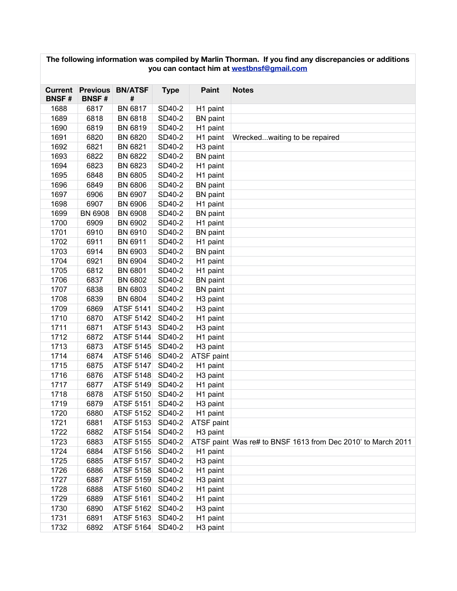| The following information was compiled by Marlin Thorman. If you find any discrepancies or additions<br>you can contact him at westbnsf@gmail.com |                                 |                     |             |                      |                                                              |  |  |  |  |
|---------------------------------------------------------------------------------------------------------------------------------------------------|---------------------------------|---------------------|-------------|----------------------|--------------------------------------------------------------|--|--|--|--|
| <b>Current</b><br><b>BNSF#</b>                                                                                                                    | <b>Previous</b><br><b>BNSF#</b> | <b>BN/ATSF</b><br># | <b>Type</b> | <b>Paint</b>         | <b>Notes</b>                                                 |  |  |  |  |
| 1688                                                                                                                                              | 6817                            | <b>BN 6817</b>      | SD40-2      | H1 paint             |                                                              |  |  |  |  |
| 1689                                                                                                                                              | 6818                            | <b>BN 6818</b>      | SD40-2      | <b>BN</b> paint      |                                                              |  |  |  |  |
| 1690                                                                                                                                              | 6819                            | <b>BN 6819</b>      | SD40-2      | H1 paint             |                                                              |  |  |  |  |
| 1691                                                                                                                                              | 6820                            | <b>BN 6820</b>      | SD40-2      | H1 paint             | Wreckedwaiting to be repaired                                |  |  |  |  |
| 1692                                                                                                                                              | 6821                            | <b>BN 6821</b>      | SD40-2      | H <sub>3</sub> paint |                                                              |  |  |  |  |
| 1693                                                                                                                                              | 6822                            | <b>BN 6822</b>      | SD40-2      | <b>BN</b> paint      |                                                              |  |  |  |  |
| 1694                                                                                                                                              | 6823                            | BN 6823             | SD40-2      | H1 paint             |                                                              |  |  |  |  |
| 1695                                                                                                                                              | 6848                            | <b>BN 6805</b>      | SD40-2      | H1 paint             |                                                              |  |  |  |  |
| 1696                                                                                                                                              | 6849                            | <b>BN 6806</b>      | SD40-2      | <b>BN</b> paint      |                                                              |  |  |  |  |
| 1697                                                                                                                                              | 6906                            | BN 6907             | SD40-2      | <b>BN</b> paint      |                                                              |  |  |  |  |
| 1698                                                                                                                                              | 6907                            | <b>BN 6906</b>      | SD40-2      | H1 paint             |                                                              |  |  |  |  |
| 1699                                                                                                                                              | <b>BN 6908</b>                  | <b>BN 6908</b>      | SD40-2      | <b>BN</b> paint      |                                                              |  |  |  |  |
| 1700                                                                                                                                              | 6909                            | BN 6902             | SD40-2      | H1 paint             |                                                              |  |  |  |  |
| 1701                                                                                                                                              | 6910                            | BN 6910             | SD40-2      | <b>BN</b> paint      |                                                              |  |  |  |  |
| 1702                                                                                                                                              | 6911                            | BN 6911             | SD40-2      | H1 paint             |                                                              |  |  |  |  |
| 1703                                                                                                                                              | 6914                            | BN 6903             | SD40-2      | <b>BN</b> paint      |                                                              |  |  |  |  |
| 1704                                                                                                                                              | 6921                            | <b>BN 6904</b>      | SD40-2      | H1 paint             |                                                              |  |  |  |  |
| 1705                                                                                                                                              | 6812                            | <b>BN 6801</b>      | SD40-2      | H1 paint             |                                                              |  |  |  |  |
| 1706                                                                                                                                              | 6837                            | <b>BN 6802</b>      | SD40-2      | <b>BN</b> paint      |                                                              |  |  |  |  |
| 1707                                                                                                                                              | 6838                            | <b>BN 6803</b>      | SD40-2      | <b>BN</b> paint      |                                                              |  |  |  |  |
| 1708                                                                                                                                              | 6839                            | <b>BN 6804</b>      | SD40-2      | H <sub>3</sub> paint |                                                              |  |  |  |  |
| 1709                                                                                                                                              | 6869                            | <b>ATSF 5141</b>    | SD40-2      | H <sub>3</sub> paint |                                                              |  |  |  |  |
| 1710                                                                                                                                              | 6870                            | <b>ATSF 5142</b>    | SD40-2      | H1 paint             |                                                              |  |  |  |  |
| 1711                                                                                                                                              | 6871                            | <b>ATSF 5143</b>    | SD40-2      | H <sub>3</sub> paint |                                                              |  |  |  |  |
| 1712                                                                                                                                              | 6872                            | ATSF 5144           | SD40-2      | H1 paint             |                                                              |  |  |  |  |
| 1713                                                                                                                                              | 6873                            | <b>ATSF 5145</b>    | SD40-2      | H <sub>3</sub> paint |                                                              |  |  |  |  |
| 1714                                                                                                                                              | 6874                            | <b>ATSF 5146</b>    | SD40-2      | ATSF paint           |                                                              |  |  |  |  |
| 1715                                                                                                                                              | 6875                            | <b>ATSF 5147</b>    | SD40-2      | H1 paint             |                                                              |  |  |  |  |
| 1716                                                                                                                                              | 6876                            | <b>ATSF 5148</b>    | SD40-2      | H <sub>3</sub> paint |                                                              |  |  |  |  |
| 1717                                                                                                                                              | 6877                            | <b>ATSF 5149</b>    | SD40-2      | H1 paint             |                                                              |  |  |  |  |
| 1718                                                                                                                                              | 6878                            | ATSF 5150           | SD40-2      | H <sub>1</sub> paint |                                                              |  |  |  |  |
| 1719                                                                                                                                              | 6879                            | ATSF 5151           | SD40-2      | H <sub>3</sub> paint |                                                              |  |  |  |  |
| 1720                                                                                                                                              | 6880                            | ATSF 5152           | SD40-2      | H1 paint             |                                                              |  |  |  |  |
| 1721                                                                                                                                              | 6881                            | ATSF 5153           | SD40-2      | ATSF paint           |                                                              |  |  |  |  |
| 1722                                                                                                                                              | 6882                            | ATSF 5154           | SD40-2      | H <sub>3</sub> paint |                                                              |  |  |  |  |
| 1723                                                                                                                                              | 6883                            | ATSF 5155           | SD40-2      |                      | ATSF paint Was re# to BNSF 1613 from Dec 2010' to March 2011 |  |  |  |  |
| 1724                                                                                                                                              | 6884                            | ATSF 5156           | SD40-2      | H1 paint             |                                                              |  |  |  |  |
| 1725                                                                                                                                              | 6885                            | <b>ATSF 5157</b>    | SD40-2      | H <sub>3</sub> paint |                                                              |  |  |  |  |
| 1726                                                                                                                                              | 6886                            | <b>ATSF 5158</b>    | SD40-2      | H1 paint             |                                                              |  |  |  |  |
| 1727                                                                                                                                              | 6887                            | <b>ATSF 5159</b>    | SD40-2      | H <sub>3</sub> paint |                                                              |  |  |  |  |
| 1728                                                                                                                                              | 6888                            | <b>ATSF 5160</b>    | SD40-2      | H1 paint             |                                                              |  |  |  |  |
| 1729                                                                                                                                              | 6889                            | <b>ATSF 5161</b>    | SD40-2      | H1 paint             |                                                              |  |  |  |  |
| 1730                                                                                                                                              | 6890                            | ATSF 5162           | SD40-2      | H <sub>3</sub> paint |                                                              |  |  |  |  |
| 1731                                                                                                                                              | 6891                            | ATSF 5163           | SD40-2      | H1 paint             |                                                              |  |  |  |  |
| 1732                                                                                                                                              | 6892                            | ATSF 5164 SD40-2    |             | H <sub>3</sub> paint |                                                              |  |  |  |  |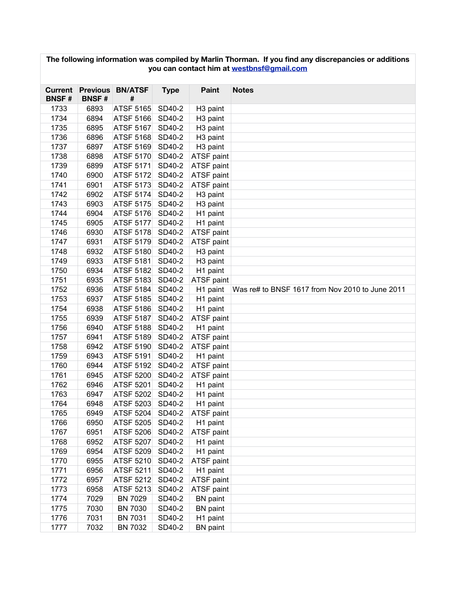| The following information was compiled by Marlin Thorman. If you find any discrepancies or additions<br>you can contact him at westbnsf@gmail.com |              |                              |             |                      |                                                 |  |  |  |
|---------------------------------------------------------------------------------------------------------------------------------------------------|--------------|------------------------------|-------------|----------------------|-------------------------------------------------|--|--|--|
|                                                                                                                                                   |              |                              |             |                      |                                                 |  |  |  |
| <b>Current</b><br><b>BNSF#</b>                                                                                                                    | <b>BNSF#</b> | <b>Previous BN/ATSF</b><br># | <b>Type</b> | <b>Paint</b>         | <b>Notes</b>                                    |  |  |  |
| 1733                                                                                                                                              | 6893         | ATSF 5165                    | SD40-2      | H <sub>3</sub> paint |                                                 |  |  |  |
| 1734                                                                                                                                              | 6894         | <b>ATSF 5166</b>             | SD40-2      | H <sub>3</sub> paint |                                                 |  |  |  |
| 1735                                                                                                                                              | 6895         | <b>ATSF 5167</b>             | SD40-2      | H <sub>3</sub> paint |                                                 |  |  |  |
| 1736                                                                                                                                              | 6896         | <b>ATSF 5168</b>             | SD40-2      | H <sub>3</sub> paint |                                                 |  |  |  |
| 1737                                                                                                                                              | 6897         | <b>ATSF 5169</b>             | SD40-2      | H <sub>3</sub> paint |                                                 |  |  |  |
| 1738                                                                                                                                              | 6898         | <b>ATSF 5170</b>             | SD40-2      | ATSF paint           |                                                 |  |  |  |
| 1739                                                                                                                                              | 6899         | <b>ATSF 5171</b>             | SD40-2      | ATSF paint           |                                                 |  |  |  |
| 1740                                                                                                                                              | 6900         | <b>ATSF 5172</b>             | SD40-2      | ATSF paint           |                                                 |  |  |  |
| 1741                                                                                                                                              | 6901         | <b>ATSF 5173</b>             | SD40-2      | ATSF paint           |                                                 |  |  |  |
| 1742                                                                                                                                              | 6902         | ATSF 5174                    | SD40-2      | H <sub>3</sub> paint |                                                 |  |  |  |
| 1743                                                                                                                                              | 6903         | <b>ATSF 5175</b>             | SD40-2      | H <sub>3</sub> paint |                                                 |  |  |  |
| 1744                                                                                                                                              | 6904         | <b>ATSF 5176</b>             | SD40-2      | H1 paint             |                                                 |  |  |  |
| 1745                                                                                                                                              | 6905         | <b>ATSF 5177</b>             | SD40-2      | H1 paint             |                                                 |  |  |  |
| 1746                                                                                                                                              | 6930         | <b>ATSF 5178</b>             | SD40-2      | ATSF paint           |                                                 |  |  |  |
| 1747                                                                                                                                              | 6931         | ATSF 5179                    | SD40-2      | ATSF paint           |                                                 |  |  |  |
| 1748                                                                                                                                              | 6932         | <b>ATSF 5180</b>             | SD40-2      | H <sub>3</sub> paint |                                                 |  |  |  |
| 1749                                                                                                                                              | 6933         | ATSF 5181                    | SD40-2      | H <sub>3</sub> paint |                                                 |  |  |  |
| 1750                                                                                                                                              | 6934         | <b>ATSF 5182</b>             | SD40-2      | H1 paint             |                                                 |  |  |  |
| 1751                                                                                                                                              | 6935         | <b>ATSF 5183</b>             | SD40-2      | ATSF paint           |                                                 |  |  |  |
| 1752                                                                                                                                              | 6936         | <b>ATSF 5184</b>             | SD40-2      | H1 paint             | Was re# to BNSF 1617 from Nov 2010 to June 2011 |  |  |  |
| 1753                                                                                                                                              | 6937         | <b>ATSF 5185</b>             | SD40-2      | H1 paint             |                                                 |  |  |  |
| 1754                                                                                                                                              | 6938         | <b>ATSF 5186</b>             | SD40-2      | H1 paint             |                                                 |  |  |  |
| 1755                                                                                                                                              | 6939         | ATSF 5187                    | SD40-2      | ATSF paint           |                                                 |  |  |  |
| 1756                                                                                                                                              | 6940         | <b>ATSF 5188</b>             | SD40-2      | H1 paint             |                                                 |  |  |  |
| 1757                                                                                                                                              | 6941         | <b>ATSF 5189</b>             | SD40-2      | ATSF paint           |                                                 |  |  |  |
| 1758                                                                                                                                              | 6942         | <b>ATSF 5190</b>             | SD40-2      | ATSF paint           |                                                 |  |  |  |
| 1759                                                                                                                                              | 6943         | ATSF 5191                    | SD40-2      | H1 paint             |                                                 |  |  |  |
| 1760                                                                                                                                              | 6944         | ATSF 5192                    | SD40-2      | ATSF paint           |                                                 |  |  |  |
| 1761                                                                                                                                              | 6945         | <b>ATSF 5200</b>             | SD40-2      | ATSF paint           |                                                 |  |  |  |
| 1762                                                                                                                                              | 6946         | <b>ATSF 5201</b>             | SD40-2      | H1 paint             |                                                 |  |  |  |
| 1763                                                                                                                                              | 6947         | ATSF 5202                    | SD40-2      | H <sub>1</sub> paint |                                                 |  |  |  |
| 1764                                                                                                                                              | 6948         | ATSF 5203                    | SD40-2      | H1 paint             |                                                 |  |  |  |
| 1765                                                                                                                                              | 6949         | ATSF 5204                    | SD40-2      | ATSF paint           |                                                 |  |  |  |
| 1766                                                                                                                                              | 6950         | ATSF 5205                    | SD40-2      | H1 paint             |                                                 |  |  |  |
| 1767                                                                                                                                              | 6951         | ATSF 5206                    | SD40-2      | ATSF paint           |                                                 |  |  |  |
| 1768                                                                                                                                              | 6952         | ATSF 5207                    | SD40-2      | H1 paint             |                                                 |  |  |  |
| 1769                                                                                                                                              | 6954         | ATSF 5209                    | SD40-2      | H1 paint             |                                                 |  |  |  |
| 1770                                                                                                                                              | 6955         | ATSF 5210                    | SD40-2      | ATSF paint           |                                                 |  |  |  |
| 1771                                                                                                                                              | 6956         | <b>ATSF 5211</b>             | SD40-2      | H1 paint             |                                                 |  |  |  |
| 1772                                                                                                                                              | 6957         | <b>ATSF 5212</b>             | SD40-2      | ATSF paint           |                                                 |  |  |  |
| 1773                                                                                                                                              | 6958         | ATSF 5213                    | SD40-2      | <b>ATSF paint</b>    |                                                 |  |  |  |
| 1774                                                                                                                                              | 7029         | <b>BN 7029</b>               | SD40-2      | <b>BN</b> paint      |                                                 |  |  |  |
| 1775                                                                                                                                              | 7030         | <b>BN 7030</b>               | SD40-2      | <b>BN</b> paint      |                                                 |  |  |  |
| 1776                                                                                                                                              | 7031         | <b>BN 7031</b>               | SD40-2      | H1 paint             |                                                 |  |  |  |
| 1777                                                                                                                                              | 7032         | <b>BN 7032</b>               | SD40-2      | <b>BN</b> paint      |                                                 |  |  |  |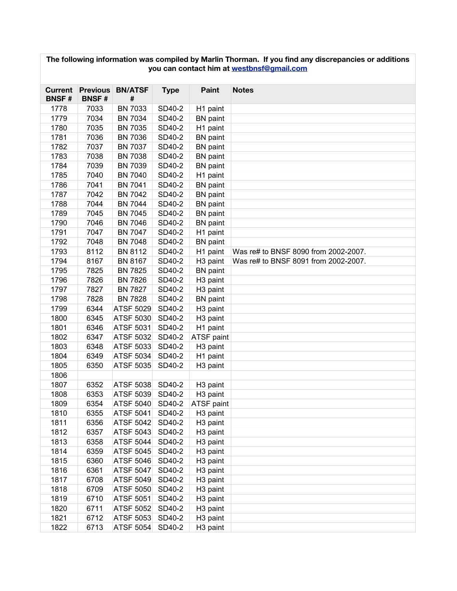| The following information was compiled by Marlin Thorman. If you find any discrepancies or additions<br>you can contact him at westbnsf@gmail.com |                 |                  |             |                      |                                      |  |  |  |  |
|---------------------------------------------------------------------------------------------------------------------------------------------------|-----------------|------------------|-------------|----------------------|--------------------------------------|--|--|--|--|
| Current                                                                                                                                           | <b>Previous</b> | <b>BN/ATSF</b>   | <b>Type</b> | <b>Paint</b>         | <b>Notes</b>                         |  |  |  |  |
| <b>BNSF#</b>                                                                                                                                      | <b>BNSF#</b>    | #                |             |                      |                                      |  |  |  |  |
| 1778                                                                                                                                              | 7033            | <b>BN 7033</b>   | SD40-2      | H1 paint             |                                      |  |  |  |  |
| 1779                                                                                                                                              | 7034            | <b>BN 7034</b>   | SD40-2      | <b>BN</b> paint      |                                      |  |  |  |  |
| 1780                                                                                                                                              | 7035            | <b>BN 7035</b>   | SD40-2      | H1 paint             |                                      |  |  |  |  |
| 1781                                                                                                                                              | 7036            | <b>BN 7036</b>   | SD40-2      | <b>BN</b> paint      |                                      |  |  |  |  |
| 1782                                                                                                                                              | 7037            | <b>BN 7037</b>   | SD40-2      | <b>BN</b> paint      |                                      |  |  |  |  |
| 1783                                                                                                                                              | 7038            | <b>BN 7038</b>   | SD40-2      | <b>BN</b> paint      |                                      |  |  |  |  |
| 1784                                                                                                                                              | 7039            | <b>BN 7039</b>   | SD40-2      | <b>BN</b> paint      |                                      |  |  |  |  |
| 1785                                                                                                                                              | 7040            | <b>BN 7040</b>   | SD40-2      | H1 paint             |                                      |  |  |  |  |
| 1786                                                                                                                                              | 7041            | <b>BN 7041</b>   | SD40-2      | BN paint             |                                      |  |  |  |  |
| 1787                                                                                                                                              | 7042            | <b>BN 7042</b>   | SD40-2      | <b>BN</b> paint      |                                      |  |  |  |  |
| 1788                                                                                                                                              | 7044            | <b>BN 7044</b>   | SD40-2      | <b>BN</b> paint      |                                      |  |  |  |  |
| 1789                                                                                                                                              | 7045            | <b>BN 7045</b>   | SD40-2      | <b>BN</b> paint      |                                      |  |  |  |  |
| 1790                                                                                                                                              | 7046            | <b>BN 7046</b>   | SD40-2      | <b>BN</b> paint      |                                      |  |  |  |  |
| 1791                                                                                                                                              | 7047            | <b>BN 7047</b>   | SD40-2      | H1 paint             |                                      |  |  |  |  |
| 1792                                                                                                                                              | 7048            | <b>BN 7048</b>   | SD40-2      | <b>BN</b> paint      |                                      |  |  |  |  |
| 1793                                                                                                                                              | 8112            | <b>BN 8112</b>   | SD40-2      | H1 paint             | Was re# to BNSF 8090 from 2002-2007. |  |  |  |  |
| 1794                                                                                                                                              | 8167            | <b>BN 8167</b>   | SD40-2      | H <sub>3</sub> paint | Was re# to BNSF 8091 from 2002-2007. |  |  |  |  |
| 1795                                                                                                                                              | 7825            | <b>BN 7825</b>   | SD40-2      | <b>BN</b> paint      |                                      |  |  |  |  |
| 1796                                                                                                                                              | 7826            | <b>BN 7826</b>   | SD40-2      | H <sub>3</sub> paint |                                      |  |  |  |  |
| 1797                                                                                                                                              | 7827            | <b>BN 7827</b>   | SD40-2      | H <sub>3</sub> paint |                                      |  |  |  |  |
| 1798                                                                                                                                              | 7828            | <b>BN 7828</b>   | SD40-2      | <b>BN</b> paint      |                                      |  |  |  |  |
| 1799                                                                                                                                              | 6344            | <b>ATSF 5029</b> | SD40-2      | H <sub>3</sub> paint |                                      |  |  |  |  |
| 1800                                                                                                                                              | 6345            | <b>ATSF 5030</b> | SD40-2      | H <sub>3</sub> paint |                                      |  |  |  |  |
| 1801                                                                                                                                              | 6346            | <b>ATSF 5031</b> | SD40-2      | H1 paint             |                                      |  |  |  |  |
| 1802                                                                                                                                              | 6347            | <b>ATSF 5032</b> | SD40-2      | ATSF paint           |                                      |  |  |  |  |
| 1803                                                                                                                                              | 6348            | <b>ATSF 5033</b> | SD40-2      | H <sub>3</sub> paint |                                      |  |  |  |  |
| 1804                                                                                                                                              | 6349            | <b>ATSF 5034</b> | SD40-2      | H1 paint             |                                      |  |  |  |  |
| 1805                                                                                                                                              | 6350            | <b>ATSF 5035</b> | SD40-2      | H <sub>3</sub> paint |                                      |  |  |  |  |
| 1806                                                                                                                                              |                 |                  |             |                      |                                      |  |  |  |  |
| 1807                                                                                                                                              | 6352            | ATSF 5038        | SD40-2      | H <sub>3</sub> paint |                                      |  |  |  |  |
| 1808                                                                                                                                              | 6353            | <b>ATSF 5039</b> | SD40-2      | H <sub>3</sub> paint |                                      |  |  |  |  |
| 1809                                                                                                                                              | 6354            | ATSF 5040        | SD40-2      | ATSF paint           |                                      |  |  |  |  |
| 1810                                                                                                                                              | 6355            | ATSF 5041        | SD40-2      | H <sub>3</sub> paint |                                      |  |  |  |  |
| 1811                                                                                                                                              | 6356            | ATSF 5042        | SD40-2      | H <sub>3</sub> paint |                                      |  |  |  |  |
| 1812                                                                                                                                              | 6357            | ATSF 5043        | SD40-2      | H <sub>3</sub> paint |                                      |  |  |  |  |
| 1813                                                                                                                                              | 6358            | ATSF 5044        | SD40-2      | H <sub>3</sub> paint |                                      |  |  |  |  |
| 1814                                                                                                                                              | 6359            | <b>ATSF 5045</b> | SD40-2      | H <sub>3</sub> paint |                                      |  |  |  |  |
| 1815                                                                                                                                              | 6360            | ATSF 5046        | SD40-2      | H <sub>3</sub> paint |                                      |  |  |  |  |
| 1816                                                                                                                                              | 6361            | ATSF 5047        | SD40-2      | H <sub>3</sub> paint |                                      |  |  |  |  |
| 1817                                                                                                                                              | 6708            | <b>ATSF 5049</b> | SD40-2      | H <sub>3</sub> paint |                                      |  |  |  |  |
| 1818                                                                                                                                              | 6709            | ATSF 5050        | SD40-2      | H <sub>3</sub> paint |                                      |  |  |  |  |
| 1819                                                                                                                                              | 6710            | <b>ATSF 5051</b> | SD40-2      | H <sub>3</sub> paint |                                      |  |  |  |  |
| 1820                                                                                                                                              | 6711            | ATSF 5052        | SD40-2      | H <sub>3</sub> paint |                                      |  |  |  |  |
| 1821                                                                                                                                              | 6712            | ATSF 5053        | SD40-2      | H <sub>3</sub> paint |                                      |  |  |  |  |
| 1822                                                                                                                                              | 6713            | ATSF 5054 SD40-2 |             | H <sub>3</sub> paint |                                      |  |  |  |  |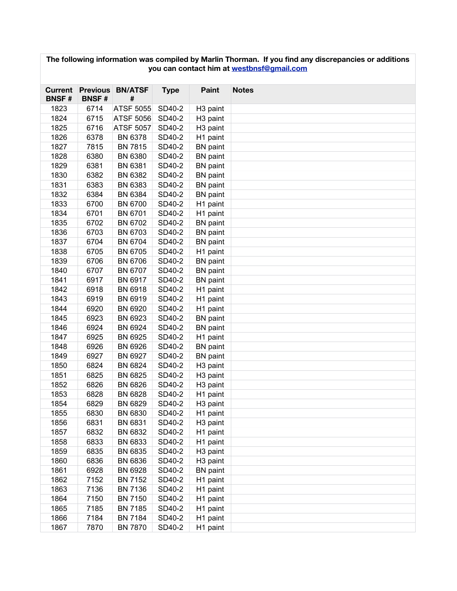| The following information was compiled by Marlin Thorman. If you find any discrepancies or additions<br>you can contact him at westbnsf@gmail.com |              |                              |             |                      |              |  |  |  |
|---------------------------------------------------------------------------------------------------------------------------------------------------|--------------|------------------------------|-------------|----------------------|--------------|--|--|--|
| Current<br><b>BNSF#</b>                                                                                                                           | <b>BNSF#</b> | <b>Previous BN/ATSF</b><br># | <b>Type</b> | <b>Paint</b>         | <b>Notes</b> |  |  |  |
| 1823                                                                                                                                              | 6714         | <b>ATSF 5055</b>             | SD40-2      | H <sub>3</sub> paint |              |  |  |  |
| 1824                                                                                                                                              | 6715         | <b>ATSF 5056</b>             | SD40-2      | H <sub>3</sub> paint |              |  |  |  |
| 1825                                                                                                                                              | 6716         | <b>ATSF 5057</b>             | SD40-2      | H <sub>3</sub> paint |              |  |  |  |
| 1826                                                                                                                                              | 6378         | <b>BN 6378</b>               | SD40-2      | H1 paint             |              |  |  |  |
| 1827                                                                                                                                              | 7815         | <b>BN 7815</b>               | SD40-2      | <b>BN</b> paint      |              |  |  |  |
| 1828                                                                                                                                              | 6380         | <b>BN 6380</b>               | SD40-2      | <b>BN</b> paint      |              |  |  |  |
| 1829                                                                                                                                              | 6381         | <b>BN 6381</b>               | SD40-2      | <b>BN</b> paint      |              |  |  |  |
| 1830                                                                                                                                              | 6382         | BN 6382                      | SD40-2      | <b>BN</b> paint      |              |  |  |  |
| 1831                                                                                                                                              | 6383         | BN 6383                      | SD40-2      | <b>BN</b> paint      |              |  |  |  |
| 1832                                                                                                                                              | 6384         | BN 6384                      | SD40-2      | <b>BN</b> paint      |              |  |  |  |
| 1833                                                                                                                                              | 6700         | <b>BN 6700</b>               | SD40-2      | H1 paint             |              |  |  |  |
| 1834                                                                                                                                              | 6701         | <b>BN 6701</b>               | SD40-2      | H1 paint             |              |  |  |  |
| 1835                                                                                                                                              | 6702         | <b>BN 6702</b>               | SD40-2      | <b>BN</b> paint      |              |  |  |  |
| 1836                                                                                                                                              | 6703         | <b>BN 6703</b>               | SD40-2      | <b>BN</b> paint      |              |  |  |  |
| 1837                                                                                                                                              | 6704         | <b>BN 6704</b>               | SD40-2      | <b>BN</b> paint      |              |  |  |  |
| 1838                                                                                                                                              | 6705         | <b>BN 6705</b>               | SD40-2      | H1 paint             |              |  |  |  |
| 1839                                                                                                                                              | 6706         | <b>BN 6706</b>               | SD40-2      | <b>BN</b> paint      |              |  |  |  |
| 1840                                                                                                                                              | 6707         | <b>BN 6707</b>               | SD40-2      | <b>BN</b> paint      |              |  |  |  |
| 1841                                                                                                                                              | 6917         | <b>BN 6917</b>               | SD40-2      | <b>BN</b> paint      |              |  |  |  |
| 1842                                                                                                                                              | 6918         | <b>BN 6918</b>               | SD40-2      | H1 paint             |              |  |  |  |
| 1843                                                                                                                                              | 6919         | <b>BN 6919</b>               | SD40-2      | H1 paint             |              |  |  |  |
| 1844                                                                                                                                              | 6920         | BN 6920                      | SD40-2      | H1 paint             |              |  |  |  |
| 1845                                                                                                                                              | 6923         | BN 6923                      | SD40-2      | <b>BN</b> paint      |              |  |  |  |
| 1846                                                                                                                                              | 6924         | BN 6924                      | SD40-2      | <b>BN</b> paint      |              |  |  |  |
| 1847                                                                                                                                              | 6925         | BN 6925                      | SD40-2      | H1 paint             |              |  |  |  |
| 1848                                                                                                                                              | 6926         | <b>BN 6926</b>               | SD40-2      | <b>BN</b> paint      |              |  |  |  |
| 1849                                                                                                                                              | 6927         | <b>BN 6927</b>               | SD40-2      | <b>BN</b> paint      |              |  |  |  |
| 1850                                                                                                                                              | 6824         | <b>BN 6824</b>               | SD40-2      | H <sub>3</sub> paint |              |  |  |  |
| 1851                                                                                                                                              | 6825         | <b>BN 6825</b>               | SD40-2      | H <sub>3</sub> paint |              |  |  |  |
| 1852                                                                                                                                              | 6826         | BN 6826                      | SD40-2      | H <sub>3</sub> paint |              |  |  |  |
| 1853                                                                                                                                              | 6828         | <b>BN 6828</b>               | SD40-2      | H <sub>1</sub> paint |              |  |  |  |
| 1854                                                                                                                                              | 6829         | BN 6829                      | SD40-2      | H <sub>3</sub> paint |              |  |  |  |
| 1855                                                                                                                                              | 6830         | BN 6830                      | SD40-2      | H1 paint             |              |  |  |  |
| 1856                                                                                                                                              | 6831         | BN 6831                      | SD40-2      | H <sub>3</sub> paint |              |  |  |  |
| 1857                                                                                                                                              | 6832         | BN 6832                      | SD40-2      | H1 paint             |              |  |  |  |
| 1858                                                                                                                                              | 6833         | BN 6833                      | SD40-2      | H1 paint             |              |  |  |  |
| 1859                                                                                                                                              | 6835         | <b>BN 6835</b>               | SD40-2      | H <sub>3</sub> paint |              |  |  |  |
| 1860                                                                                                                                              | 6836         | <b>BN 6836</b>               | SD40-2      | H <sub>3</sub> paint |              |  |  |  |
| 1861                                                                                                                                              | 6928         | BN 6928                      | SD40-2      | <b>BN</b> paint      |              |  |  |  |
| 1862                                                                                                                                              | 7152         | <b>BN 7152</b>               | SD40-2      | H1 paint             |              |  |  |  |
| 1863                                                                                                                                              | 7136         | BN 7136                      | SD40-2      | H1 paint             |              |  |  |  |
| 1864                                                                                                                                              | 7150         | <b>BN 7150</b>               | SD40-2      | H1 paint             |              |  |  |  |
| 1865                                                                                                                                              | 7185         | <b>BN 7185</b>               | SD40-2      | H1 paint             |              |  |  |  |
| 1866                                                                                                                                              | 7184         | <b>BN 7184</b>               | SD40-2      | H1 paint             |              |  |  |  |
| 1867                                                                                                                                              | 7870         | <b>BN 7870</b>               | SD40-2      | H1 paint             |              |  |  |  |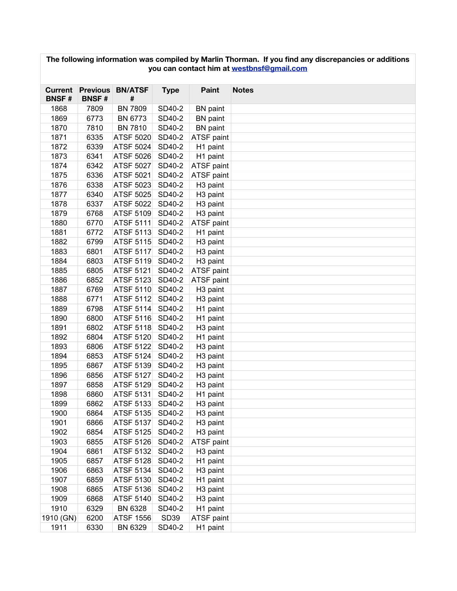| The following information was compiled by Marlin Thorman. If you find any discrepancies or additions<br>you can contact him at westbnsf@gmail.com |                 |                  |             |                      |              |  |  |  |
|---------------------------------------------------------------------------------------------------------------------------------------------------|-----------------|------------------|-------------|----------------------|--------------|--|--|--|
| <b>Current</b>                                                                                                                                    | <b>Previous</b> | <b>BN/ATSF</b>   | <b>Type</b> | <b>Paint</b>         | <b>Notes</b> |  |  |  |
| <b>BNSF#</b>                                                                                                                                      | <b>BNSF#</b>    | #                |             |                      |              |  |  |  |
| 1868                                                                                                                                              | 7809            | <b>BN 7809</b>   | SD40-2      | <b>BN</b> paint      |              |  |  |  |
| 1869                                                                                                                                              | 6773            | <b>BN 6773</b>   | SD40-2      | <b>BN</b> paint      |              |  |  |  |
| 1870                                                                                                                                              | 7810            | <b>BN 7810</b>   | SD40-2      | <b>BN</b> paint      |              |  |  |  |
| 1871                                                                                                                                              | 6335            | <b>ATSF 5020</b> | SD40-2      | ATSF paint           |              |  |  |  |
| 1872                                                                                                                                              | 6339            | ATSF 5024        | SD40-2      | H1 paint             |              |  |  |  |
| 1873                                                                                                                                              | 6341            | ATSF 5026        | SD40-2      | H1 paint             |              |  |  |  |
| 1874                                                                                                                                              | 6342            | <b>ATSF 5027</b> | SD40-2      | ATSF paint           |              |  |  |  |
| 1875                                                                                                                                              | 6336            | <b>ATSF 5021</b> | SD40-2      | ATSF paint           |              |  |  |  |
| 1876                                                                                                                                              | 6338            | <b>ATSF 5023</b> | SD40-2      | H <sub>3</sub> paint |              |  |  |  |
| 1877                                                                                                                                              | 6340            | <b>ATSF 5025</b> | SD40-2      | H <sub>3</sub> paint |              |  |  |  |
| 1878                                                                                                                                              | 6337            | <b>ATSF 5022</b> | SD40-2      | H <sub>3</sub> paint |              |  |  |  |
| 1879                                                                                                                                              | 6768            | ATSF 5109        | SD40-2      | H <sub>3</sub> paint |              |  |  |  |
| 1880                                                                                                                                              | 6770            | ATSF 5111        | SD40-2      | ATSF paint           |              |  |  |  |
| 1881                                                                                                                                              | 6772            | <b>ATSF 5113</b> | SD40-2      | H1 paint             |              |  |  |  |
| 1882                                                                                                                                              | 6799            | <b>ATSF 5115</b> | SD40-2      | H <sub>3</sub> paint |              |  |  |  |
| 1883                                                                                                                                              | 6801            | ATSF 5117        | SD40-2      | H <sub>3</sub> paint |              |  |  |  |
| 1884                                                                                                                                              | 6803            | <b>ATSF 5119</b> | SD40-2      | H <sub>3</sub> paint |              |  |  |  |
| 1885                                                                                                                                              | 6805            | <b>ATSF 5121</b> | SD40-2      | ATSF paint           |              |  |  |  |
| 1886                                                                                                                                              | 6852            | <b>ATSF 5123</b> | SD40-2      | ATSF paint           |              |  |  |  |
| 1887                                                                                                                                              | 6769            | <b>ATSF 5110</b> | SD40-2      | H <sub>3</sub> paint |              |  |  |  |
| 1888                                                                                                                                              | 6771            | <b>ATSF 5112</b> | SD40-2      | H <sub>3</sub> paint |              |  |  |  |
| 1889                                                                                                                                              | 6798            | <b>ATSF 5114</b> | SD40-2      | H1 paint             |              |  |  |  |
| 1890                                                                                                                                              | 6800            | <b>ATSF 5116</b> | SD40-2      | H1 paint             |              |  |  |  |
| 1891                                                                                                                                              | 6802            | <b>ATSF 5118</b> | SD40-2      | H <sub>3</sub> paint |              |  |  |  |
| 1892                                                                                                                                              | 6804            | <b>ATSF 5120</b> | SD40-2      | H1 paint             |              |  |  |  |
| 1893                                                                                                                                              | 6806            | <b>ATSF 5122</b> | SD40-2      | H <sub>3</sub> paint |              |  |  |  |
| 1894                                                                                                                                              | 6853            | ATSF 5124        | SD40-2      | H <sub>3</sub> paint |              |  |  |  |
| 1895                                                                                                                                              | 6867            | <b>ATSF 5139</b> | SD40-2      | H <sub>3</sub> paint |              |  |  |  |
| 1896                                                                                                                                              | 6856            | <b>ATSF 5127</b> | SD40-2      | H <sub>3</sub> paint |              |  |  |  |
| 1897                                                                                                                                              | 6858            | <b>ATSF 5129</b> | SD40-2      | H <sub>3</sub> paint |              |  |  |  |
| 1898                                                                                                                                              | 6860            | <b>ATSF 5131</b> | SD40-2      | H <sub>1</sub> paint |              |  |  |  |
| 1899                                                                                                                                              | 6862            | ATSF 5133        | SD40-2      | H <sub>3</sub> paint |              |  |  |  |
| 1900                                                                                                                                              | 6864            | ATSF 5135        | SD40-2      | H <sub>3</sub> paint |              |  |  |  |
| 1901                                                                                                                                              | 6866            | ATSF 5137        | SD40-2      | H <sub>3</sub> paint |              |  |  |  |
| 1902                                                                                                                                              | 6854            | ATSF 5125        | SD40-2      | H <sub>3</sub> paint |              |  |  |  |
| 1903                                                                                                                                              | 6855            | ATSF 5126        | SD40-2      | ATSF paint           |              |  |  |  |
| 1904                                                                                                                                              | 6861            | ATSF 5132        | SD40-2      | H <sub>3</sub> paint |              |  |  |  |
| 1905                                                                                                                                              | 6857            | <b>ATSF 5128</b> | SD40-2      | H1 paint             |              |  |  |  |
| 1906                                                                                                                                              | 6863            | ATSF 5134        | SD40-2      | H <sub>3</sub> paint |              |  |  |  |
| 1907                                                                                                                                              | 6859            | <b>ATSF 5130</b> | SD40-2      | H1 paint             |              |  |  |  |
| 1908                                                                                                                                              | 6865            | <b>ATSF 5136</b> | SD40-2      | H <sub>3</sub> paint |              |  |  |  |
| 1909                                                                                                                                              | 6868            | ATSF 5140        | SD40-2      | H <sub>3</sub> paint |              |  |  |  |
| 1910                                                                                                                                              | 6329            | <b>BN 6328</b>   | SD40-2      | H1 paint             |              |  |  |  |
| 1910 (GN)                                                                                                                                         | 6200            | <b>ATSF 1556</b> | SD39        | ATSF paint           |              |  |  |  |
| 1911                                                                                                                                              | 6330            | BN 6329          | SD40-2      | H1 paint             |              |  |  |  |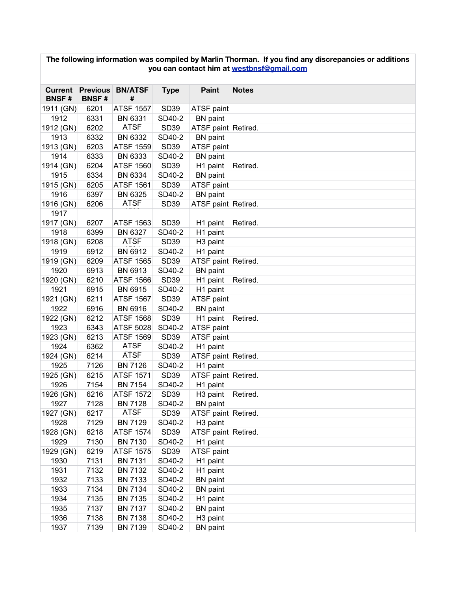| The following information was compiled by Marlin Thorman. If you find any discrepancies or additions<br>you can contact him at westbnsf@gmail.com |              |                                      |                  |                      |              |  |  |  |
|---------------------------------------------------------------------------------------------------------------------------------------------------|--------------|--------------------------------------|------------------|----------------------|--------------|--|--|--|
| <b>BNSF#</b>                                                                                                                                      | <b>BNSF#</b> | <b>Current Previous BN/ATSF</b><br># | <b>Type</b>      | Paint                | <b>Notes</b> |  |  |  |
| 1911 (GN)                                                                                                                                         | 6201         | <b>ATSF 1557</b>                     | SD39             | ATSF paint           |              |  |  |  |
| 1912                                                                                                                                              | 6331         | BN 6331                              | SD40-2           | <b>BN</b> paint      |              |  |  |  |
| 1912 (GN)                                                                                                                                         | 6202         | <b>ATSF</b>                          | <b>SD39</b>      | ATSF paint Retired.  |              |  |  |  |
| 1913                                                                                                                                              | 6332         | BN 6332                              | SD40-2           | <b>BN</b> paint      |              |  |  |  |
| 1913 (GN)                                                                                                                                         | 6203         | <b>ATSF 1559</b>                     | <b>SD39</b>      | ATSF paint           |              |  |  |  |
| 1914                                                                                                                                              | 6333         | BN 6333                              | SD40-2           | <b>BN</b> paint      |              |  |  |  |
| 1914 (GN)                                                                                                                                         | 6204         | <b>ATSF 1560</b>                     | <b>SD39</b>      | H1 paint             | Retired.     |  |  |  |
| 1915                                                                                                                                              | 6334         | BN 6334                              | SD40-2           | <b>BN</b> paint      |              |  |  |  |
| 1915 (GN)                                                                                                                                         | 6205         | <b>ATSF 1561</b>                     | <b>SD39</b>      | ATSF paint           |              |  |  |  |
| 1916                                                                                                                                              | 6397         | BN 6325                              | SD40-2           | <b>BN</b> paint      |              |  |  |  |
| 1916 (GN)                                                                                                                                         | 6206         | <b>ATSF</b>                          | <b>SD39</b>      | ATSF paint Retired.  |              |  |  |  |
| 1917                                                                                                                                              |              |                                      |                  |                      |              |  |  |  |
| 1917 (GN)                                                                                                                                         | 6207         | <b>ATSF 1563</b>                     | <b>SD39</b>      | H1 paint             | Retired.     |  |  |  |
| 1918                                                                                                                                              | 6399         | BN 6327                              | SD40-2           | H1 paint             |              |  |  |  |
| 1918 (GN)                                                                                                                                         | 6208         | <b>ATSF</b>                          | <b>SD39</b>      | H <sub>3</sub> paint |              |  |  |  |
| 1919                                                                                                                                              | 6912         | BN 6912                              | SD40-2           | H1 paint             |              |  |  |  |
| 1919 (GN)                                                                                                                                         | 6209         | <b>ATSF 1565</b>                     | <b>SD39</b>      | ATSF paint Retired.  |              |  |  |  |
| 1920                                                                                                                                              | 6913         | BN 6913                              | SD40-2           | <b>BN</b> paint      |              |  |  |  |
| 1920 (GN)                                                                                                                                         | 6210         | <b>ATSF 1566</b>                     | <b>SD39</b>      | H1 paint             | Retired.     |  |  |  |
| 1921                                                                                                                                              | 6915         | BN 6915                              | SD40-2           | H1 paint             |              |  |  |  |
| 1921 (GN)                                                                                                                                         | 6211         | <b>ATSF 1567</b>                     | <b>SD39</b>      | ATSF paint           |              |  |  |  |
| 1922                                                                                                                                              | 6916         | <b>BN 6916</b>                       | SD40-2           | <b>BN</b> paint      |              |  |  |  |
| 1922 (GN)                                                                                                                                         | 6212         | <b>ATSF 1568</b>                     | <b>SD39</b>      | H1 paint             | Retired.     |  |  |  |
| 1923                                                                                                                                              | 6343         | <b>ATSF 5028</b>                     | SD40-2           | ATSF paint           |              |  |  |  |
| 1923 (GN)                                                                                                                                         | 6213         | <b>ATSF 1569</b>                     | <b>SD39</b>      | ATSF paint           |              |  |  |  |
| 1924                                                                                                                                              | 6362         | <b>ATSF</b>                          | SD40-2           | H1 paint             |              |  |  |  |
| 1924 (GN)                                                                                                                                         | 6214         | <b>ATSF</b>                          | <b>SD39</b>      | ATSF paint Retired.  |              |  |  |  |
| 1925                                                                                                                                              | 7126         | <b>BN 7126</b>                       | SD40-2           | H1 paint             |              |  |  |  |
| 1925 (GN)                                                                                                                                         | 6215         | <b>ATSF 1571</b>                     | <b>SD39</b>      | ATSF paint Retired.  |              |  |  |  |
| 1926                                                                                                                                              | 7154         | <b>BN 7154</b>                       | SD40-2           | H1 paint             |              |  |  |  |
| 1926 (GN)                                                                                                                                         | 6216         | <b>ATSF 1572</b>                     | SD <sub>39</sub> | H <sub>3</sub> paint | Retired.     |  |  |  |
| 1927                                                                                                                                              | 7128         | <b>BN 7128</b>                       | SD40-2           | <b>BN</b> paint      |              |  |  |  |
| 1927 (GN)                                                                                                                                         | 6217         | <b>ATSF</b>                          | SD39             | ATSF paint Retired.  |              |  |  |  |
| 1928                                                                                                                                              | 7129         | <b>BN 7129</b>                       | SD40-2           | H <sub>3</sub> paint |              |  |  |  |
| 1928 (GN)                                                                                                                                         | 6218         | <b>ATSF 1574</b>                     | SD39             | ATSF paint Retired.  |              |  |  |  |
| 1929                                                                                                                                              | 7130         | <b>BN 7130</b>                       | SD40-2           | H1 paint             |              |  |  |  |
| 1929 (GN)                                                                                                                                         | 6219         | <b>ATSF 1575</b>                     | SD39             | ATSF paint           |              |  |  |  |
| 1930                                                                                                                                              | 7131         | <b>BN 7131</b>                       | SD40-2           | H1 paint             |              |  |  |  |
| 1931                                                                                                                                              | 7132         | BN 7132                              | SD40-2           | H1 paint             |              |  |  |  |
| 1932                                                                                                                                              | 7133         | BN 7133                              | SD40-2           | <b>BN</b> paint      |              |  |  |  |
| 1933                                                                                                                                              | 7134         | <b>BN 7134</b>                       | SD40-2           | <b>BN</b> paint      |              |  |  |  |
| 1934                                                                                                                                              | 7135         | <b>BN 7135</b>                       | SD40-2           | H1 paint             |              |  |  |  |
| 1935                                                                                                                                              | 7137         | <b>BN 7137</b>                       | SD40-2           | <b>BN</b> paint      |              |  |  |  |
| 1936                                                                                                                                              | 7138         | <b>BN 7138</b>                       | SD40-2           | H <sub>3</sub> paint |              |  |  |  |
| 1937                                                                                                                                              | 7139         | <b>BN 7139</b>                       | SD40-2           | <b>BN</b> paint      |              |  |  |  |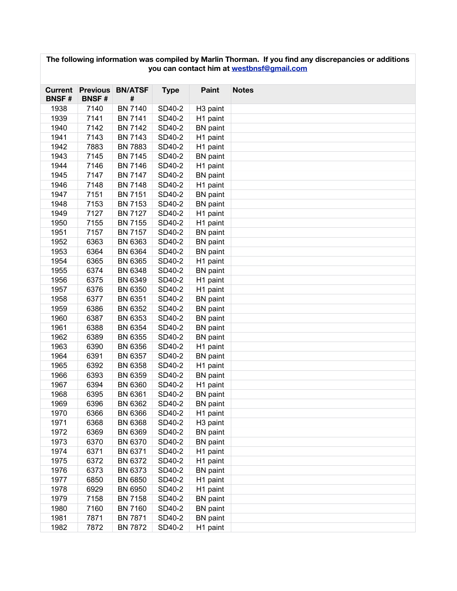| you can contact him at westbnsf@gmail.com |                                 |                     |             |                      |              |  |  |  |
|-------------------------------------------|---------------------------------|---------------------|-------------|----------------------|--------------|--|--|--|
| <b>Current</b><br><b>BNSF#</b>            | <b>Previous</b><br><b>BNSF#</b> | <b>BN/ATSF</b><br># | <b>Type</b> | Paint                | <b>Notes</b> |  |  |  |
| 1938                                      | 7140                            | <b>BN 7140</b>      | SD40-2      | H <sub>3</sub> paint |              |  |  |  |
| 1939                                      | 7141                            | <b>BN 7141</b>      | SD40-2      | H1 paint             |              |  |  |  |
| 1940                                      | 7142                            | <b>BN 7142</b>      | SD40-2      | <b>BN</b> paint      |              |  |  |  |
| 1941                                      | 7143                            | <b>BN 7143</b>      | SD40-2      | H1 paint             |              |  |  |  |
| 1942                                      | 7883                            | <b>BN 7883</b>      | SD40-2      | H1 paint             |              |  |  |  |
| 1943                                      | 7145                            | <b>BN 7145</b>      | SD40-2      | <b>BN</b> paint      |              |  |  |  |
| 1944                                      | 7146                            | <b>BN 7146</b>      | SD40-2      | H1 paint             |              |  |  |  |
| 1945                                      | 7147                            | <b>BN 7147</b>      | SD40-2      | <b>BN</b> paint      |              |  |  |  |
| 1946                                      | 7148                            | <b>BN 7148</b>      | SD40-2      | H1 paint             |              |  |  |  |
| 1947                                      | 7151                            | <b>BN 7151</b>      | SD40-2      | <b>BN</b> paint      |              |  |  |  |
| 1948                                      | 7153                            | <b>BN 7153</b>      | SD40-2      | <b>BN</b> paint      |              |  |  |  |
| 1949                                      | 7127                            | <b>BN 7127</b>      | SD40-2      | H1 paint             |              |  |  |  |
| 1950                                      | 7155                            | <b>BN 7155</b>      | SD40-2      | H1 paint             |              |  |  |  |
| 1951                                      | 7157                            | BN 7157             | SD40-2      | <b>BN</b> paint      |              |  |  |  |
| 1952                                      | 6363                            | BN 6363             | SD40-2      | <b>BN</b> paint      |              |  |  |  |
| 1953                                      | 6364                            | BN 6364             | SD40-2      | <b>BN</b> paint      |              |  |  |  |
| 1954                                      | 6365                            | BN 6365             | SD40-2      | H1 paint             |              |  |  |  |
| 1955                                      | 6374                            | <b>BN 6348</b>      | SD40-2      | <b>BN</b> paint      |              |  |  |  |
| 1956                                      | 6375                            | BN 6349             | SD40-2      | H1 paint             |              |  |  |  |
| 1957                                      | 6376                            | BN 6350             | SD40-2      | H1 paint             |              |  |  |  |
| 1958                                      | 6377                            | BN 6351             | SD40-2      | <b>BN</b> paint      |              |  |  |  |
| 1959                                      | 6386                            | BN 6352             | SD40-2      | <b>BN</b> paint      |              |  |  |  |
| 1960                                      | 6387                            | BN 6353             | SD40-2      | <b>BN</b> paint      |              |  |  |  |
| 1961                                      | 6388                            | BN 6354             | SD40-2      | <b>BN</b> paint      |              |  |  |  |
| 1962                                      | 6389                            | <b>BN 6355</b>      | SD40-2      | <b>BN</b> paint      |              |  |  |  |
| 1963                                      | 6390                            | <b>BN 6356</b>      | SD40-2      | H1 paint             |              |  |  |  |
| 1964                                      | 6391                            | <b>BN 6357</b>      | SD40-2      | <b>BN</b> paint      |              |  |  |  |
| 1965                                      | 6392                            | <b>BN 6358</b>      | SD40-2      | H1 paint             |              |  |  |  |
| 1966                                      | 6393                            | BN 6359             | SD40-2      | <b>BN</b> paint      |              |  |  |  |
| 1967                                      | 6394                            | BN 6360             | SD40-2      | H1 paint             |              |  |  |  |
| 1968                                      | 6395                            | BN 6361             | SD40-2      | <b>BN</b> paint      |              |  |  |  |
| 1969                                      | 6396                            | BN 6362             | SD40-2      | <b>BN</b> paint      |              |  |  |  |
| 1970                                      | 6366                            | <b>BN 6366</b>      | SD40-2      | H1 paint             |              |  |  |  |
| 1971                                      | 6368                            | <b>BN 6368</b>      | SD40-2      | H <sub>3</sub> paint |              |  |  |  |
| 1972                                      | 6369                            | BN 6369             | SD40-2      | <b>BN</b> paint      |              |  |  |  |
| 1973                                      | 6370                            | <b>BN 6370</b>      | SD40-2      | <b>BN</b> paint      |              |  |  |  |
| 1974                                      | 6371                            | BN 6371             | SD40-2      | H1 paint             |              |  |  |  |
| 1975                                      | 6372                            | BN 6372             | SD40-2      | H1 paint             |              |  |  |  |
| 1976                                      | 6373                            | BN 6373             | SD40-2      | <b>BN</b> paint      |              |  |  |  |
| 1977                                      | 6850                            | <b>BN 6850</b>      | SD40-2      | H1 paint             |              |  |  |  |
| 1978                                      | 6929                            | <b>BN 6950</b>      | SD40-2      | H1 paint             |              |  |  |  |
| 1979                                      | 7158                            | <b>BN 7158</b>      | SD40-2      | <b>BN</b> paint      |              |  |  |  |
| 1980                                      | 7160                            | <b>BN 7160</b>      | SD40-2      | <b>BN</b> paint      |              |  |  |  |
| 1981                                      | 7871                            | <b>BN 7871</b>      | SD40-2      | <b>BN</b> paint      |              |  |  |  |
| 1982                                      | 7872                            | <b>BN 7872</b>      | SD40-2      | H1 paint             |              |  |  |  |

**The following information was compiled by Marlin Thorman. If you find any discrepancies or additions**